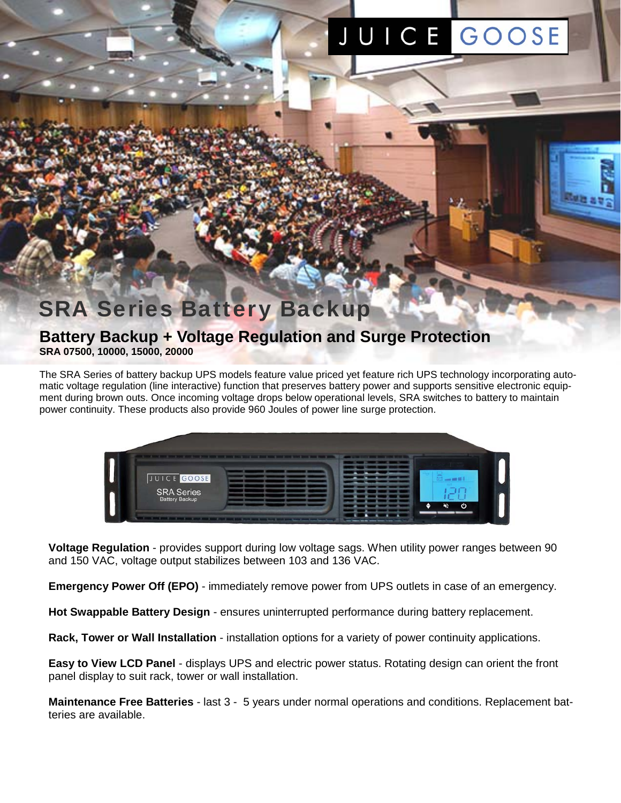# JUICE GOOSE

## **SRA Series Battery Backup**

### **Battery Backup + Voltage Regulation and Surge Protection SRA 07500, 10000, 15000, 20000**

The SRA Series of battery backup UPS models feature value priced yet feature rich UPS technology incorporating automatic voltage regulation (line interactive) function that preserves battery power and supports sensitive electronic equipment during brown outs. Once incoming voltage drops below operational levels, SRA switches to battery to maintain power continuity. These products also provide 960 Joules of power line surge protection.



**Voltage Regulation** - provides support during low voltage sags. When utility power ranges between 90 and 150 VAC, voltage output stabilizes between 103 and 136 VAC.

**Emergency Power Off (EPO)** - immediately remove power from UPS outlets in case of an emergency.

**Hot Swappable Battery Design** - ensures uninterrupted performance during battery replacement.

**Rack, Tower or Wall Installation** - installation options for a variety of power continuity applications.

**Easy to View LCD Panel** - displays UPS and electric power status. Rotating design can orient the front panel display to suit rack, tower or wall installation.

**Maintenance Free Batteries** - last 3 - 5 years under normal operations and conditions. Replacement batteries are available.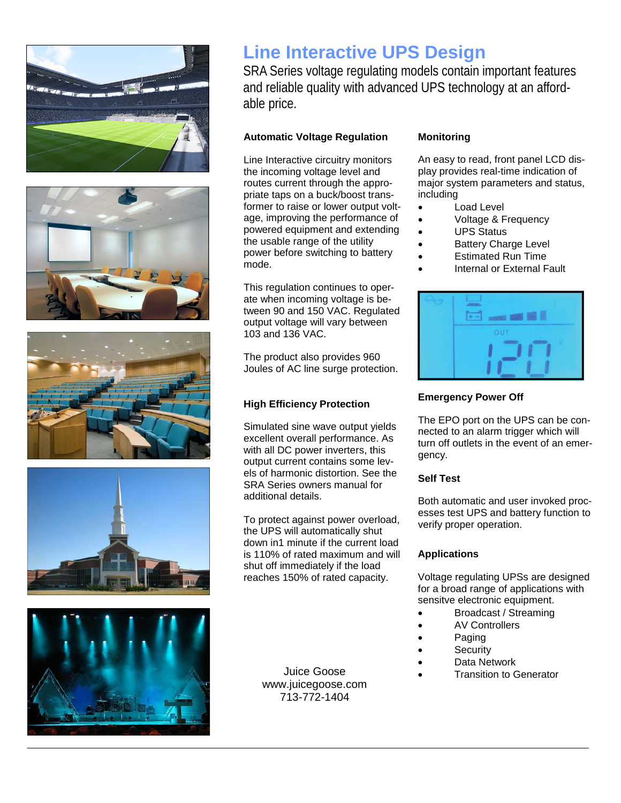









## **Line Interactive UPS Design**

SRA Series voltage regulating models contain important features and reliable quality with advanced UPS technology at an affordable price.

#### **Automatic Voltage Regulation**

Line Interactive circuitry monitors the incoming voltage level and routes current through the appropriate taps on a buck/boost transformer to raise or lower output voltage, improving the performance of powered equipment and extending the usable range of the utility power before switching to battery mode.

This regulation continues to operate when incoming voltage is between 90 and 150 VAC. Regulated output voltage will vary between 103 and 136 VAC.

The product also provides 960 Joules of AC line surge protection.

#### **High Efficiency Protection**

Simulated sine wave output yields excellent overall performance. As with all DC power inverters, this output current contains some levels of harmonic distortion. See the SRA Series owners manual for additional details.

To protect against power overload, the UPS will automatically shut down in1 minute if the current load is 110% of rated maximum and will shut off immediately if the load reaches 150% of rated capacity.

> www.juicegoose.com 713-772-1404

#### **Monitoring**

An easy to read, front panel LCD display provides real-time indication of major system parameters and status, including

- Load Level
- Voltage & Frequency
- UPS Status
- Battery Charge Level
- Estimated Run Time
- Internal or External Fault

| د م |
|-----|
| OUT |
|     |

#### **Emergency Power Off**

The EPO port on the UPS can be connected to an alarm trigger which will turn off outlets in the event of an emergency.

#### **Self Test**

Both automatic and user invoked processes test UPS and battery function to verify proper operation.

#### **Applications**

Voltage regulating UPSs are designed for a broad range of applications with sensitve electronic equipment.

- Broadcast / Streaming
- AV Controllers
- Paging
- **Security**
- Data Network
- Juice Goose **Construction**<br>
Transition to Generator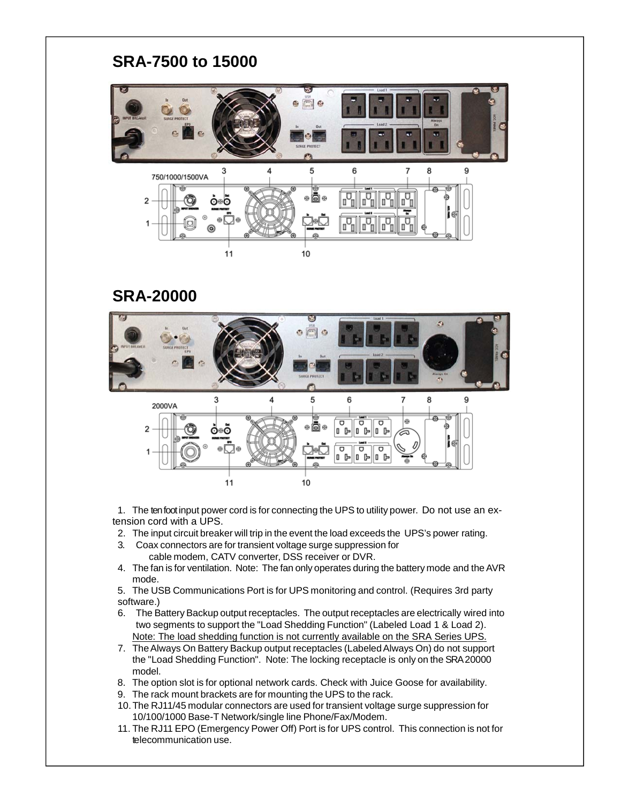## **SRA-7500 to 15000**



## **SRA-20000**



 1. The ten foot input power cord is for connecting the UPS to utility power. Do not use an extension cord with a UPS.

- 2. The input circuit breaker will trip in the event the load exceeds the UPS's power rating.
- 3. Coax connectors are for transient voltage surge suppression for cable modem, CATV converter, DSS receiver or DVR.
- 4. The fan is for ventilation. Note: The fan only operates during the battery mode and the AVR mode.
- 5. The USB Communications Port is for UPS monitoring and control. (Requires 3rd party software.)
- 6. The Battery Backup output receptacles. The output receptacles are electrically wired into two segments to support the "Load Shedding Function" (Labeled Load 1 & Load 2). Note: The load shedding function is not currently available on the SRA Series UPS.
- 7. The Always On Battery Backup output receptacles (Labeled Always On) do not support the "Load Shedding Function". Note: The locking receptacle is only on the SRA 20000 model.
- 8. The option slot is for optional network cards. Check with Juice Goose for availability.
- 9. The rack mount brackets are for mounting the UPS to the rack.
- 10. The RJ11/45 modular connectors are used for transient voltage surge suppression for 10/100/1000 Base-T Network/single line Phone/Fax/Modem.
- 11. The RJ11 EPO (Emergency Power Off) Port is for UPS control. This connection is not for telecommunication use.